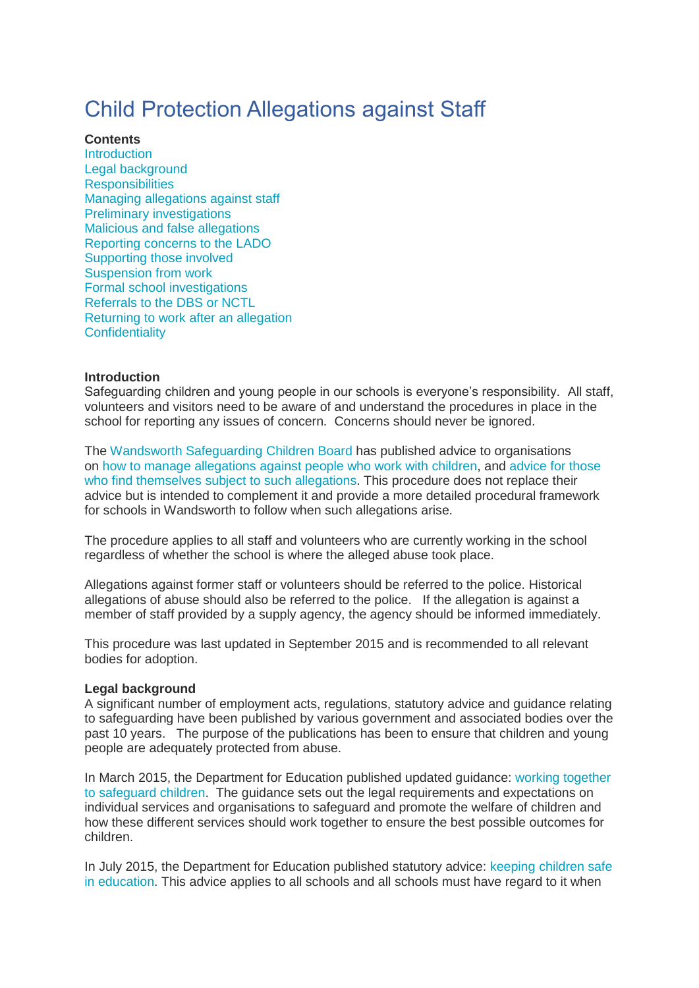# Child Protection Allegations against Staff

## **Contents**

**[Introduction](https://info.wandsworth.gov.uk/Schools/HR/Policies-Procedures/Safeguarding/Child-Protection-Allegations#Introduction)** Legal [background](https://info.wandsworth.gov.uk/Schools/HR/Policies-Procedures/Safeguarding/Child-Protection-Allegations#Legal%20background) **[Responsibilities](https://info.wandsworth.gov.uk/Schools/HR/Policies-Procedures/Safeguarding/Child-Protection-Allegations#Responsibilities)** Managing [allegations](https://info.wandsworth.gov.uk/Schools/HR/Policies-Procedures/Safeguarding/Child-Protection-Allegations#Managing%20allegations%20against%20staff) against staff Preliminary [investigations](https://info.wandsworth.gov.uk/Schools/HR/Policies-Procedures/Safeguarding/Child-Protection-Allegations#Preliminary%20investigations) Malicious and false [allegations](https://info.wandsworth.gov.uk/Schools/HR/Policies-Procedures/Safeguarding/Child-Protection-Allegations#Malicious%20and%20false%20allegations) [Reporting](https://info.wandsworth.gov.uk/Schools/HR/Policies-Procedures/Safeguarding/Child-Protection-Allegations#Reporting%20concerns%20to%20the%20LADO) concerns to the LADO [Supporting](https://info.wandsworth.gov.uk/Schools/HR/Policies-Procedures/Safeguarding/Child-Protection-Allegations#Supporting%20those%20involved) those involved [Suspension](https://info.wandsworth.gov.uk/Schools/HR/Policies-Procedures/Safeguarding/Child-Protection-Allegations#Suspension%20from%20work) from work Formal school [investigations](https://info.wandsworth.gov.uk/Schools/HR/Policies-Procedures/Safeguarding/Child-Protection-Allegations#Formal%20school%20investigations) [Referrals](https://info.wandsworth.gov.uk/Schools/HR/Policies-Procedures/Safeguarding/Child-Protection-Allegations#Referrals%20to%20the%20DBS%20or%20NCTL) to the DBS or NCTL [Returning](https://info.wandsworth.gov.uk/Schools/HR/Policies-Procedures/Safeguarding/Child-Protection-Allegations#Returning%20to%20work%20after%20an%20allegation) to work after an allegation **[Confidentiality](https://info.wandsworth.gov.uk/Schools/HR/Policies-Procedures/Safeguarding/Child-Protection-Allegations#Confidentiality)** 

# **Introduction**

Safeguarding children and young people in our schools is everyone's responsibility. All staff, volunteers and visitors need to be aware of and understand the procedures in place in the school for reporting any issues of concern. Concerns should never be ignored.

The Wandsworth [Safeguarding](http://www.wscb.org.uk/) Children Board has published advice to organisations on how to manage [allegations](http://www.wscb.org.uk/downloads/file/30/lado_procedure-managing_allegations_against_adults_working_with_children) against people who work with children, and [advice](http://www.wscb.org.uk/wscb/downloads/file/66/a_guide_for_staff_and_volunteers_who_work_with_children_and_are_faced_with_an_allegation_of_abuse) for those who find [themselves](http://www.wscb.org.uk/wscb/downloads/file/66/a_guide_for_staff_and_volunteers_who_work_with_children_and_are_faced_with_an_allegation_of_abuse) subject to such allegations. This procedure does not replace their advice but is intended to complement it and provide a more detailed procedural framework for schools in Wandsworth to follow when such allegations arise.

The procedure applies to all staff and volunteers who are currently working in the school regardless of whether the school is where the alleged abuse took place.

Allegations against former staff or volunteers should be referred to the police. Historical allegations of abuse should also be referred to the police. If the allegation is against a member of staff provided by a supply agency, the agency should be informed immediately.

This procedure was last updated in September 2015 and is recommended to all relevant bodies for adoption.

#### **Legal background**

A significant number of employment acts, regulations, statutory advice and guidance relating to safeguarding have been published by various government and associated bodies over the past 10 years. The purpose of the publications has been to ensure that children and young people are adequately protected from abuse.

In March 2015, the Department for Education published updated guidance: working [together](https://www.gov.uk/government/publications/working-together-to-safeguard-children--2) to [safeguard](https://www.gov.uk/government/publications/working-together-to-safeguard-children--2) children. The guidance sets out the legal requirements and expectations on individual services and organisations to safeguard and promote the welfare of children and how these different services should work together to ensure the best possible outcomes for children.

In July 2015, the Department for Education published statutory advice: [keeping](https://www.gov.uk/government/publications/keeping-children-safe-in-education--2) children safe in [education.](https://www.gov.uk/government/publications/keeping-children-safe-in-education--2) This advice applies to all schools and all schools must have regard to it when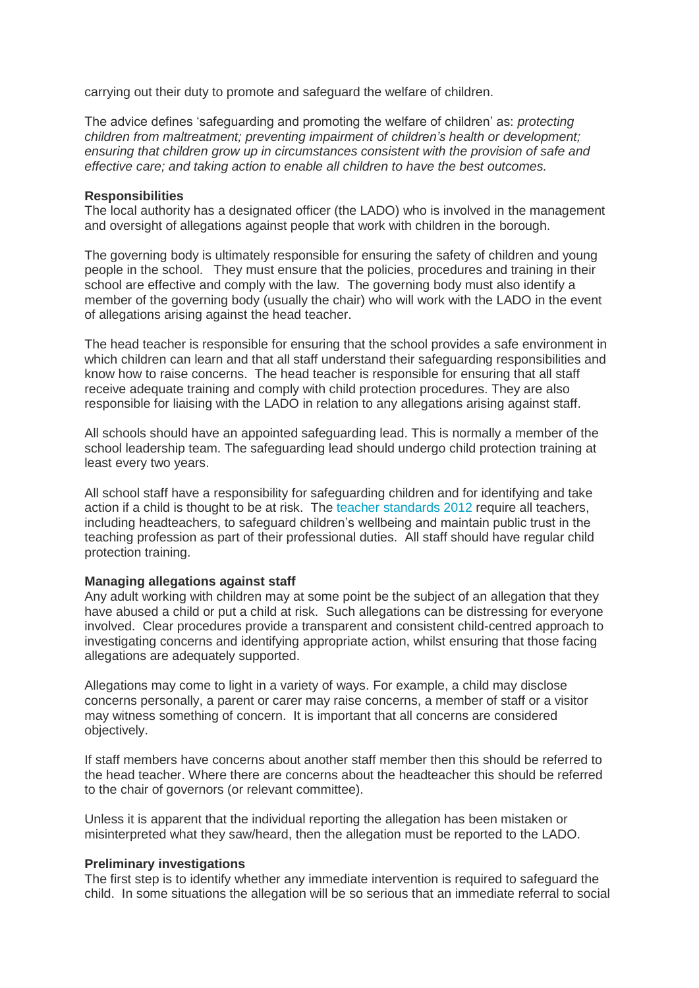carrying out their duty to promote and safeguard the welfare of children.

The advice defines 'safeguarding and promoting the welfare of children' as: *protecting children from maltreatment; preventing impairment of children's health or development; ensuring that children grow up in circumstances consistent with the provision of safe and effective care; and taking action to enable all children to have the best outcomes.*

#### **Responsibilities**

The local authority has a designated officer (the LADO) who is involved in the management and oversight of allegations against people that work with children in the borough.

The governing body is ultimately responsible for ensuring the safety of children and young people in the school. They must ensure that the policies, procedures and training in their school are effective and comply with the law. The governing body must also identify a member of the governing body (usually the chair) who will work with the LADO in the event of allegations arising against the head teacher.

The head teacher is responsible for ensuring that the school provides a safe environment in which children can learn and that all staff understand their safeguarding responsibilities and know how to raise concerns. The head teacher is responsible for ensuring that all staff receive adequate training and comply with child protection procedures. They are also responsible for liaising with the LADO in relation to any allegations arising against staff.

All schools should have an appointed safeguarding lead. This is normally a member of the school leadership team. The safeguarding lead should undergo child protection training at least every two years.

All school staff have a responsibility for safeguarding children and for identifying and take action if a child is thought to be at risk. The teacher [standards](https://www.gov.uk/government/publications/teachers-standards) 2012 require all teachers, including headteachers, to safeguard children's wellbeing and maintain public trust in the teaching profession as part of their professional duties. All staff should have regular child protection training.

#### **Managing allegations against staff**

Any adult working with children may at some point be the subject of an allegation that they have abused a child or put a child at risk. Such allegations can be distressing for everyone involved. Clear procedures provide a transparent and consistent child-centred approach to investigating concerns and identifying appropriate action, whilst ensuring that those facing allegations are adequately supported.

Allegations may come to light in a variety of ways. For example, a child may disclose concerns personally, a parent or carer may raise concerns, a member of staff or a visitor may witness something of concern. It is important that all concerns are considered objectively.

If staff members have concerns about another staff member then this should be referred to the head teacher. Where there are concerns about the headteacher this should be referred to the chair of governors (or relevant committee).

Unless it is apparent that the individual reporting the allegation has been mistaken or misinterpreted what they saw/heard, then the allegation must be reported to the LADO.

#### **Preliminary investigations**

The first step is to identify whether any immediate intervention is required to safeguard the child. In some situations the allegation will be so serious that an immediate referral to social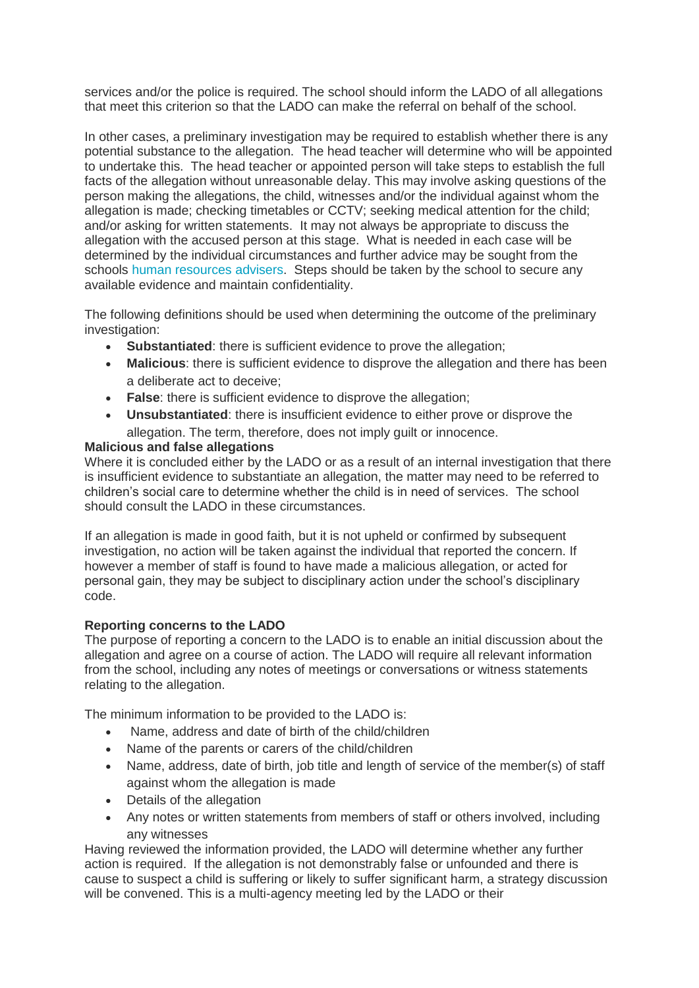services and/or the police is required. The school should inform the LADO of all allegations that meet this criterion so that the LADO can make the referral on behalf of the school.

In other cases, a preliminary investigation may be required to establish whether there is any potential substance to the allegation. The head teacher will determine who will be appointed to undertake this. The head teacher or appointed person will take steps to establish the full facts of the allegation without unreasonable delay. This may involve asking questions of the person making the allegations, the child, witnesses and/or the individual against whom the allegation is made; checking timetables or CCTV; seeking medical attention for the child; and/or asking for written statements. It may not always be appropriate to discuss the allegation with the accused person at this stage. What is needed in each case will be determined by the individual circumstances and further advice may be sought from the schools human [resources](https://info.wandsworth.gov.uk/Schools/HR/Contact-Us/Contact-Schools-HR) advisers. Steps should be taken by the school to secure any available evidence and maintain confidentiality.

The following definitions should be used when determining the outcome of the preliminary investigation:

- **Substantiated**: there is sufficient evidence to prove the allegation;
- **Malicious**: there is sufficient evidence to disprove the allegation and there has been a deliberate act to deceive;
- **False**: there is sufficient evidence to disprove the allegation;
- **Unsubstantiated**: there is insufficient evidence to either prove or disprove the allegation. The term, therefore, does not imply guilt or innocence.

# **Malicious and false allegations**

Where it is concluded either by the LADO or as a result of an internal investigation that there is insufficient evidence to substantiate an allegation, the matter may need to be referred to children's social care to determine whether the child is in need of services. The school should consult the LADO in these circumstances.

If an allegation is made in good faith, but it is not upheld or confirmed by subsequent investigation, no action will be taken against the individual that reported the concern. If however a member of staff is found to have made a malicious allegation, or acted for personal gain, they may be subject to disciplinary action under the school's disciplinary code.

# **Reporting concerns to the LADO**

The purpose of reporting a concern to the LADO is to enable an initial discussion about the allegation and agree on a course of action. The LADO will require all relevant information from the school, including any notes of meetings or conversations or witness statements relating to the allegation.

The minimum information to be provided to the LADO is:

- Name, address and date of birth of the child/children
- Name of the parents or carers of the child/children
- Name, address, date of birth, job title and length of service of the member(s) of staff against whom the allegation is made
- Details of the allegation
- Any notes or written statements from members of staff or others involved, including any witnesses

Having reviewed the information provided, the LADO will determine whether any further action is required. If the allegation is not demonstrably false or unfounded and there is cause to suspect a child is suffering or likely to suffer significant harm, a strategy discussion will be convened. This is a multi-agency meeting led by the LADO or their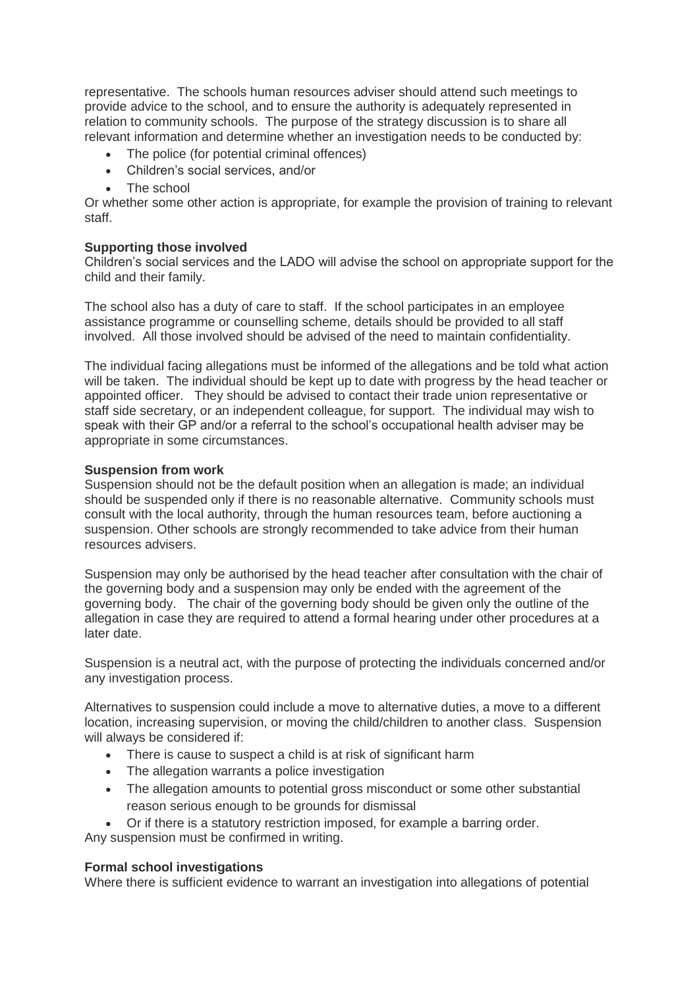representative. The schools human resources adviser should attend such meetings to provide advice to the school, and to ensure the authority is adequately represented in relation to community schools. The purpose of the strategy discussion is to share all relevant information and determine whether an investigation needs to be conducted by:

- The police (for potential criminal offences)
- Children's social services, and/or
- The school

Or whether some other action is appropriate, for example the provision of training to relevant staff.

## **Supporting those involved**

Children's social services and the LADO will advise the school on appropriate support for the child and their family.

The school also has a duty of care to staff. If the school participates in an employee assistance programme or counselling scheme, details should be provided to all staff involved. All those involved should be advised of the need to maintain confidentiality.

The individual facing allegations must be informed of the allegations and be told what action will be taken. The individual should be kept up to date with progress by the head teacher or appointed officer. They should be advised to contact their trade union representative or staff side secretary, or an independent colleague, for support. The individual may wish to speak with their GP and/or a referral to the school's occupational health adviser may be appropriate in some circumstances.

# **Suspension from work**

Suspension should not be the default position when an allegation is made; an individual should be suspended only if there is no reasonable alternative. Community schools must consult with the local authority, through the human resources team, before auctioning a suspension. Other schools are strongly recommended to take advice from their human resources advisers.

Suspension may only be authorised by the head teacher after consultation with the chair of the governing body and a suspension may only be ended with the agreement of the governing body. The chair of the governing body should be given only the outline of the allegation in case they are required to attend a formal hearing under other procedures at a later date.

Suspension is a neutral act, with the purpose of protecting the individuals concerned and/or any investigation process.

Alternatives to suspension could include a move to alternative duties, a move to a different location, increasing supervision, or moving the child/children to another class. Suspension will always be considered if:

- There is cause to suspect a child is at risk of significant harm
- The allegation warrants a police investigation
- The allegation amounts to potential gross misconduct or some other substantial reason serious enough to be grounds for dismissal
- Or if there is a statutory restriction imposed, for example a barring order.

Any suspension must be confirmed in writing.

#### **Formal school investigations**

Where there is sufficient evidence to warrant an investigation into allegations of potential